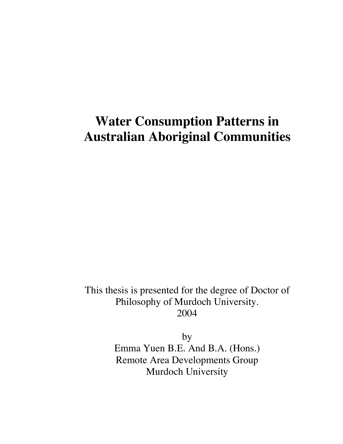# **Water Consumption Patterns in Australian Aboriginal Communities**

This thesis is presented for the degree of Doctor of Philosophy of Murdoch University. 2004

by

Emma Yuen B.E. And B.A. (Hons.) Remote Area Developments Group Murdoch University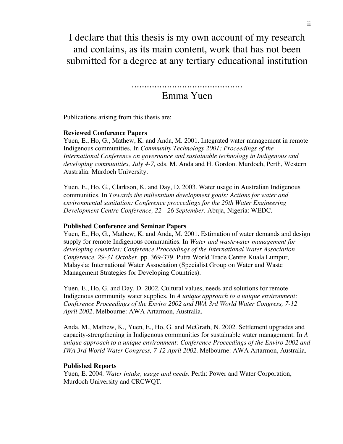I declare that this thesis is my own account of my research and contains, as its main content, work that has not been submitted for a degree at any tertiary educational institution

............................................

### Emma Yuen

Publications arising from this thesis are:

#### **Reviewed Conference Papers**

Yuen, E., Ho, G., Mathew, K. and Anda, M. 2001. Integrated water management in remote Indigenous communities. In *Community Technology 2001: Proceedings of the International Conference on governance and sustainable technology in Indigenous and developing communities, July 4-7,* eds. M. Anda and H. Gordon. Murdoch, Perth, Western Australia: Murdoch University.

Yuen, E., Ho, G., Clarkson, K. and Day, D. 2003. Water usage in Australian Indigenous communities. In *Towards the millennium development goals: Actions for water and environmental sanitation: Conference proceedings for the 29th Water Engineering Development Centre Conference, 22 - 26 September*. Abuja, Nigeria: WEDC.

#### **Published Conference and Seminar Papers**

Yuen, E., Ho, G., Mathew, K. and Anda, M. 2001. Estimation of water demands and design supply for remote Indigenous communities. In *Water and wastewater management for developing countries: Conference Proceedings of the International Water Association Conference, 29-31 October*. pp. 369-379. Putra World Trade Centre Kuala Lumpur, Malaysia: International Water Association (Specialist Group on Water and Waste Management Strategies for Developing Countries).

Yuen, E., Ho, G. and Day, D. 2002. Cultural values, needs and solutions for remote Indigenous community water supplies. In *A unique approach to a unique environment: Conference Proceedings of the Enviro 2002 and IWA 3rd World Water Congress, 7-12 April 2002*. Melbourne: AWA Artarmon, Australia.

Anda, M., Mathew, K., Yuen, E., Ho, G. and McGrath, N. 2002. Settlement upgrades and capacity-strengthening in Indigenous communities for sustainable water management. In *A unique approach to a unique environment: Conference Proceedings of the Enviro 2002 and IWA 3rd World Water Congress, 7-12 April 2002*. Melbourne: AWA Artarmon, Australia.

#### **Published Reports**

Yuen, E. 2004. *Water intake, usage and needs*. Perth: Power and Water Corporation, Murdoch University and CRCWQT.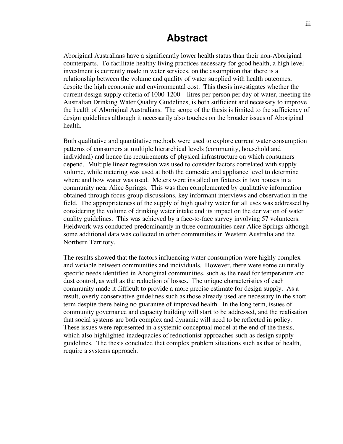### **Abstract**

Aboriginal Australians have a significantly lower health status than their non-Aboriginal counterparts. To facilitate healthy living practices necessary for good health, a high level investment is currently made in water services, on the assumption that there is a relationship between the volume and quality of water supplied with health outcomes, despite the high economic and environmental cost. This thesis investigates whether the current design supply criteria of 1000-1200 litres per person per day of water, meeting the Australian Drinking Water Quality Guidelines, is both sufficient and necessary to improve the health of Aboriginal Australians. The scope of the thesis is limited to the sufficiency of design guidelines although it necessarily also touches on the broader issues of Aboriginal health.

Both qualitative and quantitative methods were used to explore current water consumption patterns of consumers at multiple hierarchical levels (community, household and individual) and hence the requirements of physical infrastructure on which consumers depend. Multiple linear regression was used to consider factors correlated with supply volume, while metering was used at both the domestic and appliance level to determine where and how water was used. Meters were installed on fixtures in two houses in a community near Alice Springs. This was then complemented by qualitative information obtained through focus group discussions, key informant interviews and observation in the field. The appropriateness of the supply of high quality water for all uses was addressed by considering the volume of drinking water intake and its impact on the derivation of water quality guidelines. This was achieved by a face-to-face survey involving 57 volunteers. Fieldwork was conducted predominantly in three communities near Alice Springs although some additional data was collected in other communities in Western Australia and the Northern Territory.

The results showed that the factors influencing water consumption were highly complex and variable between communities and individuals. However, there were some culturally specific needs identified in Aboriginal communities, such as the need for temperature and dust control, as well as the reduction of losses. The unique characteristics of each community made it difficult to provide a more precise estimate for design supply. As a result, overly conservative guidelines such as those already used are necessary in the short term despite there being no guarantee of improved health. In the long term, issues of community governance and capacity building will start to be addressed, and the realisation that social systems are both complex and dynamic will need to be reflected in policy. These issues were represented in a systemic conceptual model at the end of the thesis, which also highlighted inadequacies of reductionist approaches such as design supply guidelines. The thesis concluded that complex problem situations such as that of health, require a systems approach.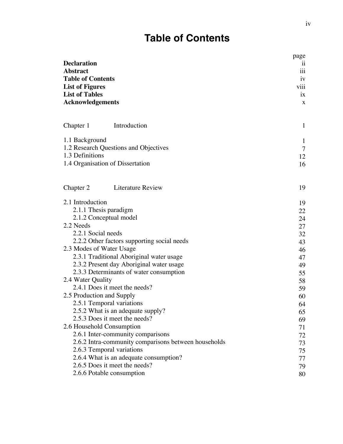## **Table of Contents**

| <b>Declaration</b><br><b>Abstract</b><br><b>Table of Contents</b><br><b>List of Figures</b><br><b>List of Tables</b><br><b>Acknowledgements</b>                                                                                                                                                                                                                                                                                      | page<br>11<br>iii<br>1V<br>viii<br>1X<br>X                                 |
|--------------------------------------------------------------------------------------------------------------------------------------------------------------------------------------------------------------------------------------------------------------------------------------------------------------------------------------------------------------------------------------------------------------------------------------|----------------------------------------------------------------------------|
| Introduction<br>Chapter 1                                                                                                                                                                                                                                                                                                                                                                                                            | $\mathbf{1}$                                                               |
| 1.1 Background<br>1.2 Research Questions and Objectives<br>1.3 Definitions<br>1.4 Organisation of Dissertation                                                                                                                                                                                                                                                                                                                       | $\mathbf{1}$<br>$\overline{7}$<br>12<br>16                                 |
| <b>Literature Review</b><br>Chapter 2                                                                                                                                                                                                                                                                                                                                                                                                | 19                                                                         |
| 2.1 Introduction<br>2.1.1 Thesis paradigm<br>2.1.2 Conceptual model<br>2.2 Needs<br>2.2.1 Social needs<br>2.2.2 Other factors supporting social needs<br>2.3 Modes of Water Usage<br>2.3.1 Traditional Aboriginal water usage<br>2.3.2 Present day Aboriginal water usage<br>2.3.3 Determinants of water consumption<br>2.4 Water Quality<br>2.4.1 Does it meet the needs?<br>2.5 Production and Supply<br>2.5.1 Temporal variations | 19<br>22<br>24<br>27<br>32<br>43<br>46<br>47<br>49<br>55<br>58<br>59<br>60 |
| 2.5.2 What is an adequate supply?<br>2.5.3 Does it meet the needs?<br>2.6 Household Consumption<br>2.6.1 Inter-community comparisons<br>2.6.2 Intra-community comparisons between households<br>2.6.3 Temporal variations<br>2.6.4 What is an adequate consumption?<br>2.6.5 Does it meet the needs?<br>2.6.6 Potable consumption                                                                                                    | 64<br>65<br>69<br>71<br>72<br>73<br>75<br>77<br>79<br>80                   |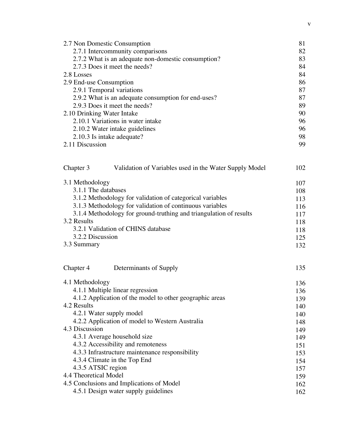| 2.7 Non Domestic Consumption                                        | 81  |
|---------------------------------------------------------------------|-----|
| 2.7.1 Intercommunity comparisons                                    | 82  |
| 2.7.2 What is an adequate non-domestic consumption?                 | 83  |
| 2.7.3 Does it meet the needs?                                       | 84  |
| 2.8 Losses                                                          | 84  |
| 2.9 End-use Consumption                                             | 86  |
| 2.9.1 Temporal variations                                           | 87  |
| 2.9.2 What is an adequate consumption for end-uses?                 | 87  |
| 2.9.3 Does it meet the needs?                                       | 89  |
| 2.10 Drinking Water Intake                                          | 90  |
| 2.10.1 Variations in water intake                                   | 96  |
| 2.10.2 Water intake guidelines                                      | 96  |
| 2.10.3 Is intake adequate?                                          | 98  |
| 2.11 Discussion                                                     | 99  |
|                                                                     |     |
| Chapter 3<br>Validation of Variables used in the Water Supply Model | 102 |
| 3.1 Methodology                                                     | 107 |
| 3.1.1 The databases                                                 | 108 |
| 3.1.2 Methodology for validation of categorical variables           | 113 |
| 3.1.3 Methodology for validation of continuous variables            | 116 |
| 3.1.4 Methodology for ground-truthing and triangulation of results  | 117 |
| 3.2 Results                                                         | 118 |
| 3.2.1 Validation of CHINS database                                  | 118 |
| 3.2.2 Discussion                                                    | 125 |
| 3.3 Summary                                                         | 132 |
|                                                                     |     |
| Chapter 4<br>Determinants of Supply                                 | 135 |
| 4.1 Methodology                                                     | 136 |
| 4.1.1 Multiple linear regression                                    | 136 |
| 4.1.2 Application of the model to other geographic areas            | 139 |
| 4.2 Results                                                         | 140 |
| 4.2.1 Water supply model                                            | 140 |
| 4.2.2 Application of model to Western Australia                     | 148 |
| 4.3 Discussion                                                      | 149 |
| 4.3.1 Average household size                                        | 149 |
| 4.3.2 Accessibility and remoteness                                  | 151 |
| 4.3.3 Infrastructure maintenance responsibility                     | 153 |
| 4.3.4 Climate in the Top End                                        | 154 |
| 4.3.5 ATSIC region                                                  | 157 |
| 4.4 Theoretical Model                                               | 159 |
| 4.5 Conclusions and Implications of Model                           | 162 |
| 4.5.1 Design water supply guidelines                                | 162 |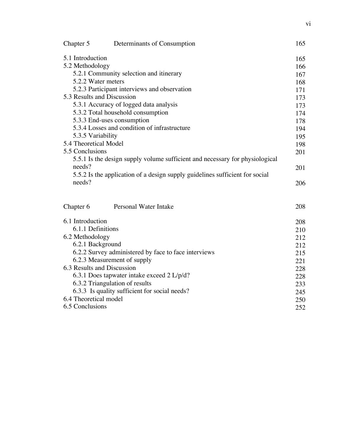| Chapter 5                  | Determinants of Consumption                                                  | 165 |
|----------------------------|------------------------------------------------------------------------------|-----|
| 5.1 Introduction           |                                                                              | 165 |
| 5.2 Methodology            |                                                                              | 166 |
|                            | 5.2.1 Community selection and itinerary                                      | 167 |
| 5.2.2 Water meters         |                                                                              | 168 |
|                            | 5.2.3 Participant interviews and observation                                 | 171 |
| 5.3 Results and Discussion |                                                                              | 173 |
|                            | 5.3.1 Accuracy of logged data analysis                                       | 173 |
|                            | 5.3.2 Total household consumption                                            | 174 |
|                            | 5.3.3 End-uses consumption                                                   | 178 |
|                            | 5.3.4 Losses and condition of infrastructure                                 | 194 |
| 5.3.5 Variability          |                                                                              | 195 |
| 5.4 Theoretical Model      |                                                                              | 198 |
| 5.5 Conclusions            |                                                                              | 201 |
|                            | 5.5.1 Is the design supply volume sufficient and necessary for physiological |     |
| needs?                     |                                                                              | 201 |
|                            | 5.5.2 Is the application of a design supply guidelines sufficient for social |     |
| needs?                     |                                                                              | 206 |
| Chapter 6                  | Personal Water Intake                                                        | 208 |
| 6.1 Introduction           |                                                                              | 208 |
| 6.1.1 Definitions          |                                                                              | 210 |
| 6.2 Methodology            |                                                                              | 212 |
| 6.2.1 Background           |                                                                              | 212 |
|                            | 6.2.2 Survey administered by face to face interviews                         | 215 |
|                            | 6.2.3 Measurement of supply                                                  | 221 |
| 6.3 Results and Discussion |                                                                              | 228 |
|                            | 6.3.1 Does tapwater intake exceed 2 L/p/d?                                   | 228 |
|                            | 6.3.2 Triangulation of results                                               | 233 |
|                            | 6.3.3 Is quality sufficient for social needs?                                | 245 |
| 6.4 Theoretical model      |                                                                              | 250 |
| 6.5 Conclusions            |                                                                              | 252 |
|                            |                                                                              |     |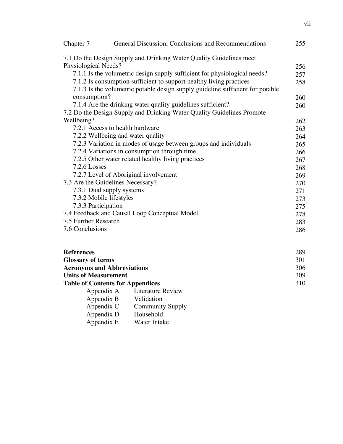| Chapter 7                                                                 | General Discussion, Conclusions and Recommendations                            | 255 |
|---------------------------------------------------------------------------|--------------------------------------------------------------------------------|-----|
|                                                                           | 7.1 Do the Design Supply and Drinking Water Quality Guidelines meet            |     |
| Physiological Needs?                                                      |                                                                                | 256 |
| 7.1.1 Is the volumetric design supply sufficient for physiological needs? |                                                                                |     |
|                                                                           | 7.1.2 Is consumption sufficient to support healthy living practices            | 258 |
|                                                                           | 7.1.3 Is the volumetric potable design supply guideline sufficient for potable |     |
| consumption?                                                              |                                                                                | 260 |
|                                                                           | 7.1.4 Are the drinking water quality guidelines sufficient?                    | 260 |
|                                                                           | 7.2 Do the Design Supply and Drinking Water Quality Guidelines Promote         |     |
| Wellbeing?                                                                |                                                                                | 262 |
|                                                                           | 7.2.1 Access to health hardware                                                | 263 |
|                                                                           | 7.2.2 Wellbeing and water quality                                              | 264 |
|                                                                           | 7.2.3 Variation in modes of usage between groups and individuals               | 265 |
|                                                                           | 7.2.4 Variations in consumption through time                                   | 266 |
|                                                                           | 7.2.5 Other water related healthy living practices                             | 267 |
| 7.2.6 Losses                                                              |                                                                                | 268 |
|                                                                           | 7.2.7 Level of Aboriginal involvement                                          | 269 |
|                                                                           | 7.3 Are the Guidelines Necessary?                                              | 270 |
|                                                                           | 7.3.1 Dual supply systems                                                      | 271 |
|                                                                           | 7.3.2 Mobile lifestyles                                                        | 273 |
| 7.3.3 Participation                                                       |                                                                                | 275 |
|                                                                           | 7.4 Feedback and Causal Loop Conceptual Model                                  | 278 |
| 7.5 Further Research                                                      |                                                                                | 283 |
| 7.6 Conclusions                                                           |                                                                                | 286 |
| <b>References</b>                                                         |                                                                                | 289 |
| Glossary of terms                                                         |                                                                                | 301 |

| <b>Glossary of terms</b>                                         |                              | 301 |
|------------------------------------------------------------------|------------------------------|-----|
| <b>Acronyms and Abbreviations</b><br><b>Units of Measurement</b> |                              | 306 |
|                                                                  |                              | 309 |
| <b>Table of Contents for Appendices</b>                          |                              | 310 |
|                                                                  | Appendix A Literature Review |     |
| Appendix B                                                       | Validation                   |     |
| Appendix C                                                       | <b>Community Supply</b>      |     |
| $\Delta$ positive $\Gamma$                                       | Household                    |     |

| $\Delta$ ppenula $\cup$ | COMMUNICATION |
|-------------------------|---------------|
| Appendix D              | Household     |
| Appendix E              | Water Intake  |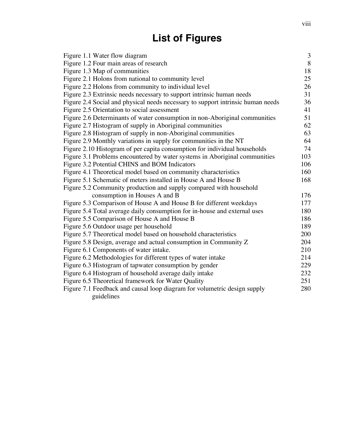## **List of Figures**

| Figure 1.1 Water flow diagram                                                   | 3   |
|---------------------------------------------------------------------------------|-----|
| Figure 1.2 Four main areas of research                                          | 8   |
| Figure 1.3 Map of communities                                                   | 18  |
| Figure 2.1 Holons from national to community level                              | 25  |
| Figure 2.2 Holons from community to individual level                            | 26  |
| Figure 2.3 Extrinsic needs necessary to support intrinsic human needs           | 31  |
| Figure 2.4 Social and physical needs necessary to support intrinsic human needs | 36  |
| Figure 2.5 Orientation to social assessment                                     | 41  |
| Figure 2.6 Determinants of water consumption in non-Aboriginal communities      | 51  |
| Figure 2.7 Histogram of supply in Aboriginal communities                        | 62  |
| Figure 2.8 Histogram of supply in non-Aboriginal communities                    | 63  |
| Figure 2.9 Monthly variations in supply for communities in the NT               | 64  |
| Figure 2.10 Histogram of per capita consumption for individual households       | 74  |
| Figure 3.1 Problems encountered by water systems in Aboriginal communities      | 103 |
| Figure 3.2 Potential CHINS and BOM Indicators                                   | 106 |
| Figure 4.1 Theoretical model based on community characteristics                 | 160 |
| Figure 5.1 Schematic of meters installed in House A and House B                 | 168 |
| Figure 5.2 Community production and supply compared with household              |     |
| consumption in Houses A and B                                                   | 176 |
| Figure 5.3 Comparison of House A and House B for different weekdays             | 177 |
| Figure 5.4 Total average daily consumption for in-house and external uses       | 180 |
| Figure 5.5 Comparison of House A and House B                                    | 186 |
| Figure 5.6 Outdoor usage per household                                          | 189 |
| Figure 5.7 Theoretical model based on household characteristics                 | 200 |
| Figure 5.8 Design, average and actual consumption in Community Z                | 204 |
| Figure 6.1 Components of water intake.                                          | 210 |
| Figure 6.2 Methodologies for different types of water intake                    | 214 |
| Figure 6.3 Histogram of tapwater consumption by gender                          | 229 |
| Figure 6.4 Histogram of household average daily intake                          | 232 |
| Figure 6.5 Theoretical framework for Water Quality                              | 251 |
| Figure 7.1 Feedback and causal loop diagram for volumetric design supply        | 280 |
| guidelines                                                                      |     |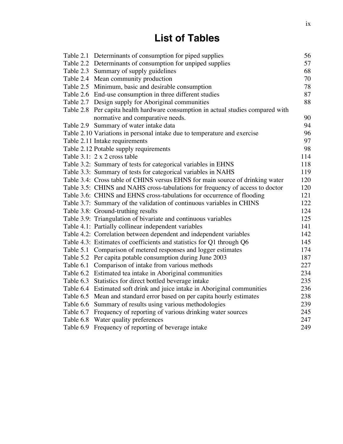## **List of Tables**

| Table 2.1 Determinants of consumption for piped supplies                         | 56  |
|----------------------------------------------------------------------------------|-----|
| Table 2.2 Determinants of consumption for unpiped supplies                       | 57  |
| Table 2.3 Summary of supply guidelines                                           | 68  |
| Table 2.4 Mean community production                                              | 70  |
| Table 2.5 Minimum, basic and desirable consumption                               | 78  |
| Table 2.6 End-use consumption in three different studies                         | 87  |
| Table 2.7 Design supply for Aboriginal communities                               | 88  |
| Table 2.8 Per capita health hardware consumption in actual studies compared with |     |
| normative and comparative needs.                                                 | 90  |
| Table 2.9 Summary of water intake data                                           | 94  |
| Table 2.10 Variations in personal intake due to temperature and exercise         | 96  |
| Table 2.11 Intake requirements                                                   | 97  |
| Table 2.12 Potable supply requirements                                           | 98  |
| Table 3.1: 2 x 2 cross table                                                     | 114 |
| Table 3.2: Summary of tests for categorical variables in EHNS                    | 118 |
| Table 3.3: Summary of tests for categorical variables in NAHS                    | 119 |
| Table 3.4: Cross table of CHINS versus EHNS for main source of drinking water    | 120 |
| Table 3.5: CHINS and NAHS cross-tabulations for frequency of access to doctor    | 120 |
| Table 3.6: CHINS and EHNS cross-tabulations for occurrence of flooding           | 121 |
| Table 3.7: Summary of the validation of continuous variables in CHINS            | 122 |
| Table 3.8: Ground-truthing results                                               | 124 |
| Table 3.9: Triangulation of bivariate and continuous variables                   | 125 |
| Table 4.1: Partially collinear independent variables                             | 141 |
| Table 4.2: Correlation between dependent and independent variables               | 142 |
| Table 4.3: Estimates of coefficients and statistics for Q1 through Q6            | 145 |
| Table 5.1 Comparison of metered responses and logger estimates                   | 174 |
| Table 5.2 Per capita potable consumption during June 2003                        | 187 |
| Table 6.1 Comparison of intake from various methods                              | 227 |
| Table 6.2 Estimated tea intake in Aboriginal communities                         | 234 |
| Table 6.3 Statistics for direct bottled beverage intake                          | 235 |
| Table 6.4 Estimated soft drink and juice intake in Aboriginal communities        | 236 |
| Table 6.5 Mean and standard error based on per capita hourly estimates           | 238 |
| Table 6.6 Summary of results using various methodologies                         | 239 |
| Table 6.7 Frequency of reporting of various drinking water sources               | 245 |
| Table 6.8 Water quality preferences                                              | 247 |
| Table 6.9 Frequency of reporting of beverage intake                              | 249 |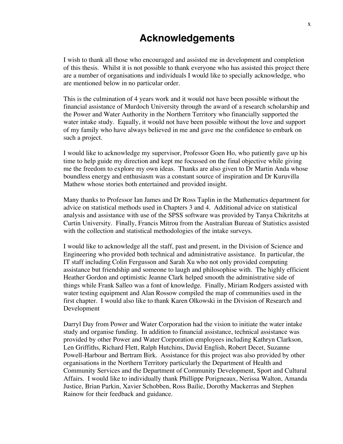### **Acknowledgements**

I wish to thank all those who encouraged and assisted me in development and completion of this thesis. Whilst it is not possible to thank everyone who has assisted this project there are a number of organisations and individuals I would like to specially acknowledge, who are mentioned below in no particular order.

This is the culmination of 4 years work and it would not have been possible without the financial assistance of Murdoch University through the award of a research scholarship and the Power and Water Authority in the Northern Territory who financially supported the water intake study. Equally, it would not have been possible without the love and support of my family who have always believed in me and gave me the confidence to embark on such a project.

I would like to acknowledge my supervisor, Professor Goen Ho, who patiently gave up his time to help guide my direction and kept me focussed on the final objective while giving me the freedom to explore my own ideas. Thanks are also given to Dr Martin Anda whose boundless energy and enthusiasm was a constant source of inspiration and Dr Kuruvilla Mathew whose stories both entertained and provided insight.

Many thanks to Professor Ian James and Dr Ross Taplin in the Mathematics department for advice on statistical methods used in Chapters 3 and 4. Additional advice on statistical analysis and assistance with use of the SPSS software was provided by Tanya Chikritzhs at Curtin University. Finally, Francis Mitrou from the Australian Bureau of Statistics assisted with the collection and statistical methodologies of the intake surveys.

I would like to acknowledge all the staff, past and present, in the Division of Science and Engineering who provided both technical and administrative assistance. In particular, the IT staff including Colin Fergusson and Sarah Xu who not only provided computing assistance but friendship and someone to laugh and philosophise with. The highly efficient Heather Gordon and optimistic Jeanne Clark helped smooth the administrative side of things while Frank Salleo was a font of knowledge. Finally, Miriam Rodgers assisted with water testing equipment and Alan Rossow compiled the map of communities used in the first chapter. I would also like to thank Karen Olkowski in the Division of Research and Development

Darryl Day from Power and Water Corporation had the vision to initiate the water intake study and organise funding. In addition to financial assistance, technical assistance was provided by other Power and Water Corporation employees including Kathryn Clarkson, Len Griffiths, Richard Flett, Ralph Hutchins, David English, Robert Decet, Suzanne Powell-Harbour and Bertram Birk. Assistance for this project was also provided by other organisations in the Northern Territory particularly the Department of Health and Community Services and the Department of Community Development, Sport and Cultural Affairs. I would like to individually thank Phillippe Porigneaux, Nerissa Walton, Amanda Justice, Brian Parkin, Xavier Schobben, Ross Bailie, Dorothy Mackerras and Stephen Rainow for their feedback and guidance.